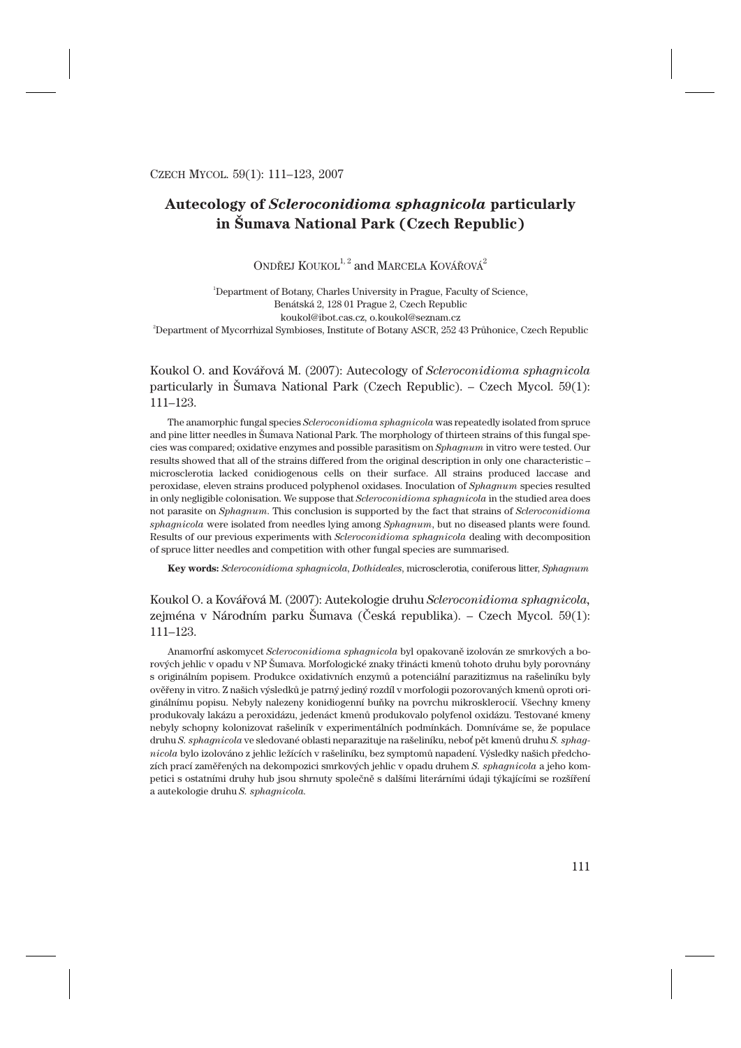# **Autecology of** *Scleroconidioma sphagnicola* **particularly in Šumava National Park (Czech Republic)**

ONDŘEJ KOUKOL<sup>1, 2</sup> and MARCELA KOVÁŘOVÁ<sup>2</sup>

<sup>1</sup>Department of Botany, Charles University in Prague, Faculty of Science, Benátská 2, 128 01 Prague 2, Czech Republic koukol@ibot.cas.cz, o.koukol@seznam.cz 2 Department of Mycorrhizal Symbioses, Institute of Botany ASCR, 252 43 Průhonice, Czech Republic

Koukol O. and Kovářová M. (2007): Autecology of *Scleroconidioma sphagnicola* particularly in Šumava National Park (Czech Republic). – Czech Mycol. 59(1): 111–123.

The anamorphic fungal species *Scleroconidioma sphagnicola* was repeatedly isolated from spruce and pine litter needles in Šumava National Park. The morphology of thirteen strains of this fungal species was compared; oxidative enzymes and possible parasitism on *Sphagnum* in vitro were tested. Our results showed that all of the strains differed from the original description in only one characteristic – microsclerotia lacked conidiogenous cells on their surface. All strains produced laccase and peroxidase, eleven strains produced polyphenol oxidases. Inoculation of *Sphagnum* species resulted in only negligible colonisation. We suppose that *Scleroconidioma sphagnicola* in the studied area does not parasite on *Sphagnum*. This conclusion is supported by the fact that strains of *Scleroconidioma sphagnicola* were isolated from needles lying among *Sphagnum*, but no diseased plants were found. Results of our previous experiments with *Scleroconidioma sphagnicola* dealing with decomposition of spruce litter needles and competition with other fungal species are summarised.

**Key words:** *Scleroconidioma sphagnicola*, *Dothideales*, microsclerotia, coniferous litter, *Sphagnum*

## Koukol O. a Kovářová M. (2007): Autekologie druhu *Scleroconidioma sphagnicola,* zejména v Národním parku Šumava (Česká republika). – Czech Mycol. 59(1): 111–123.

Anamorfní askomycet *Scleroconidioma sphagnicola* byl opakovaně izolován ze smrkových a borových jehlic v opadu v NP Šumava. Morfologické znaky třinácti kmenů tohoto druhu byly porovnány s originálním popisem. Produkce oxidativních enzymů a potenciální parazitizmus na rašeliníku byly ověřeny in vitro. Z našich výsledků je patrný jediný rozdíl v morfologii pozorovaných kmenů oproti originálnímu popisu. Nebyly nalezeny konidiogenní buňky na povrchu mikrosklerocií. Všechny kmeny produkovaly lakázu a peroxidázu, jedenáct kmenů produkovalo polyfenol oxidázu. Testované kmeny nebyly schopny kolonizovat rašeliník v experimentálních podmínkách. Domníváme se, že populace druhu *S. sphagnicola* ve sledované oblasti neparazituje na rašeliníku, neboť pět kmenů druhu *S. sphagnicola* bylo izolováno z jehlic ležících v rašeliníku, bez symptomů napadení. Výsledky našich předchozích prací zaměřených na dekompozici smrkových jehlic v opadu druhem *S. sphagnicola* a jeho kompetici s ostatními druhy hub jsou shrnuty společně s dalšími literárními údaji týkajícími se rozšíření a autekologie druhu *S. sphagnicola.*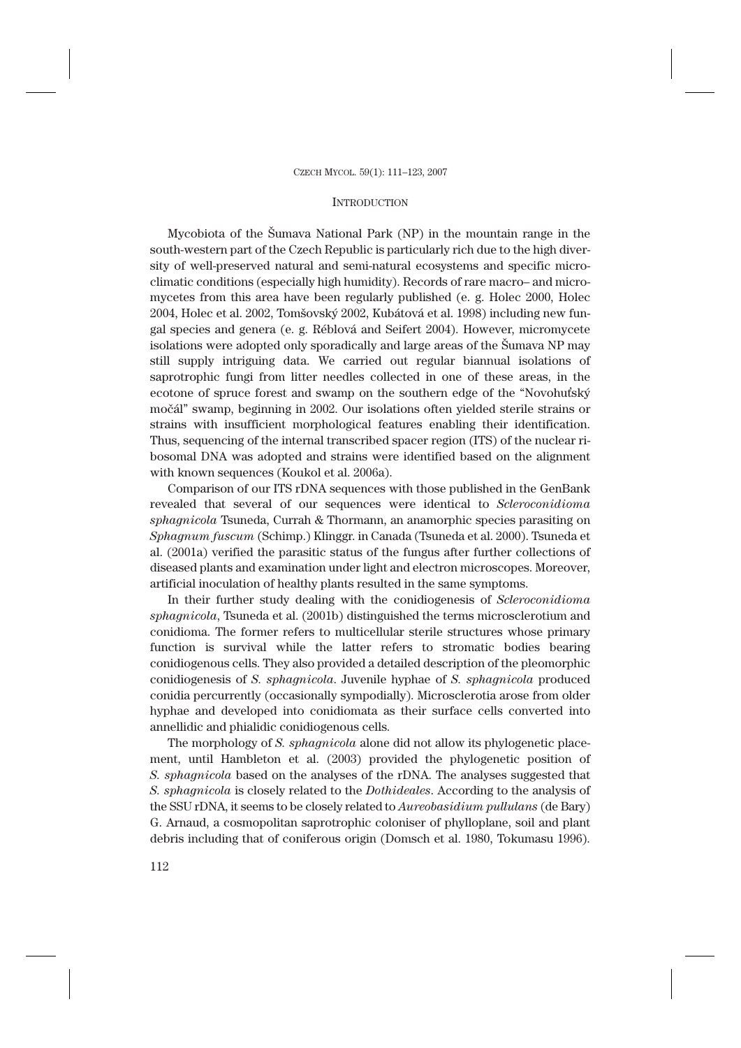## **INTRODUCTION**

Mycobiota of the Šumava National Park (NP) in the mountain range in the south-western part of the Czech Republic is particularly rich due to the high diversity of well-preserved natural and semi-natural ecosystems and specific microclimatic conditions (especially high humidity). Records of rare macro– and micromycetes from this area have been regularly published (e. g. Holec 2000, Holec 2004, Holec et al. 2002, Tomšovský 2002, Kubátová et al. 1998) including new fungal species and genera (e. g. Réblová and Seifert 2004). However, micromycete isolations were adopted only sporadically and large areas of the Šumava NP may still supply intriguing data. We carried out regular biannual isolations of saprotrophic fungi from litter needles collected in one of these areas, in the ecotone of spruce forest and swamp on the southern edge of the "Novohuťský močál" swamp, beginning in 2002. Our isolations often yielded sterile strains or strains with insufficient morphological features enabling their identification. Thus, sequencing of the internal transcribed spacer region (ITS) of the nuclear ribosomal DNA was adopted and strains were identified based on the alignment with known sequences (Koukol et al. 2006a).

Comparison of our ITS rDNA sequences with those published in the GenBank revealed that several of our sequences were identical to *Scleroconidioma sphagnicola* Tsuneda, Currah & Thormann, an anamorphic species parasiting on *Sphagnum fuscum* (Schimp.) Klinggr. in Canada (Tsuneda et al. 2000). Tsuneda et al. (2001a) verified the parasitic status of the fungus after further collections of diseased plants and examination under light and electron microscopes. Moreover, artificial inoculation of healthy plants resulted in the same symptoms.

In their further study dealing with the conidiogenesis of *Scleroconidioma sphagnicola*, Tsuneda et al. (2001b) distinguished the terms microsclerotium and conidioma. The former refers to multicellular sterile structures whose primary function is survival while the latter refers to stromatic bodies bearing conidiogenous cells. They also provided a detailed description of the pleomorphic conidiogenesis of *S. sphagnicola*. Juvenile hyphae of *S. sphagnicola* produced conidia percurrently (occasionally sympodially). Microsclerotia arose from older hyphae and developed into conidiomata as their surface cells converted into annellidic and phialidic conidiogenous cells.

The morphology of *S. sphagnicola* alone did not allow its phylogenetic placement, until Hambleton et al. (2003) provided the phylogenetic position of *S. sphagnicola* based on the analyses of the rDNA. The analyses suggested that *S. sphagnicola* is closely related to the *Dothideales*. According to the analysis of the SSU rDNA, it seems to be closely related to *Aureobasidium pullulans* (de Bary) G. Arnaud, a cosmopolitan saprotrophic coloniser of phylloplane, soil and plant debris including that of coniferous origin (Domsch et al. 1980, Tokumasu 1996).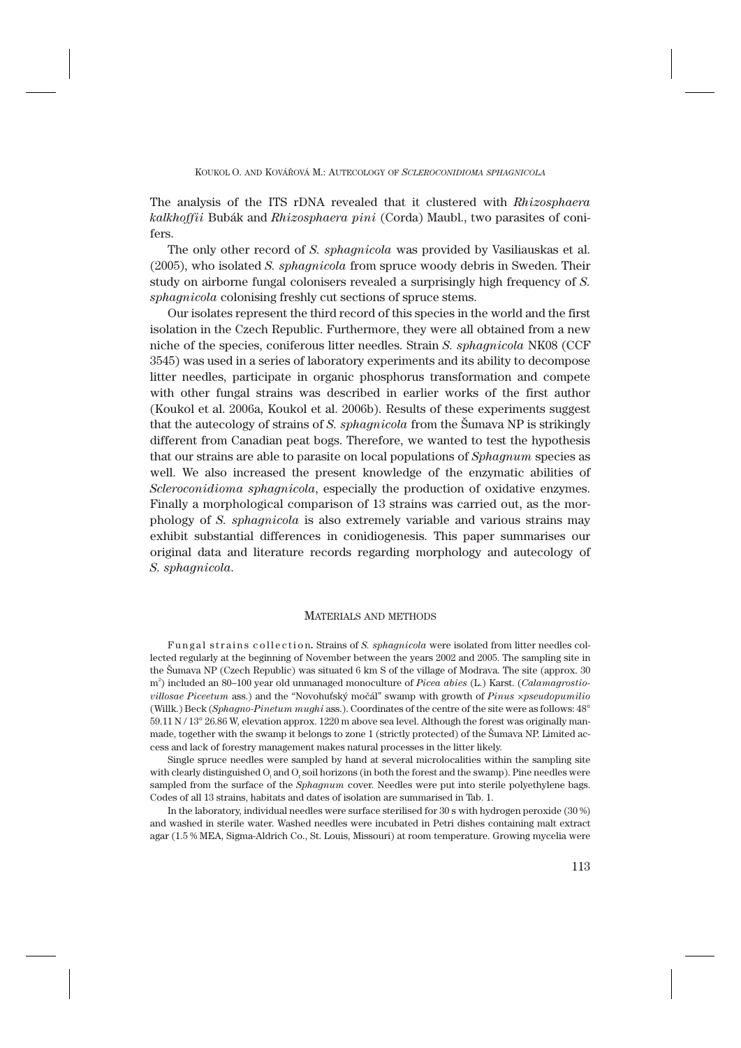The analysis of the ITS rDNA revealed that it clustered with *Rhizosphaera kalkhoffii* Bubák and *Rhizosphaera pini* (Corda) Maubl., two parasites of conifers.

The only other record of *S. sphagnicola* was provided by Vasiliauskas et al. (2005), who isolated *S. sphagnicola* from spruce woody debris in Sweden. Their study on airborne fungal colonisers revealed a surprisingly high frequency of *S. sphagnicola* colonising freshly cut sections of spruce stems.

Our isolates represent the third record of this species in the world and the first isolation in the Czech Republic. Furthermore, they were all obtained from a new niche of the species, coniferous litter needles. Strain *S. sphagnicola* NK08 (CCF 3545) was used in a series of laboratory experiments and its ability to decompose litter needles, participate in organic phosphorus transformation and compete with other fungal strains was described in earlier works of the first author (Koukol et al. 2006a, Koukol et al. 2006b). Results of these experiments suggest that the autecology of strains of *S. sphagnicola* from the Šumava NP is strikingly different from Canadian peat bogs. Therefore, we wanted to test the hypothesis that our strains are able to parasite on local populations of *Sphagnum* species as well. We also increased the present knowledge of the enzymatic abilities of *Scleroconidioma sphagnicola*, especially the production of oxidative enzymes. Finally a morphological comparison of 13 strains was carried out, as the morphology of *S. sphagnicola* is also extremely variable and various strains may exhibit substantial differences in conidiogenesis. This paper summarises our original data and literature records regarding morphology and autecology of *S. sphagnicola*.

#### MATERIALS AND METHODS

Fungal strains collection**.** Strains of *S. sphagnicola* were isolated from litter needles collected regularly at the beginning of November between the years 2002 and 2005. The sampling site in the Šumava NP (Czech Republic) was situated 6 km S of the village of Modrava. The site (approx. 30 m2 ) included an 80–100 year old unmanaged monoculture of *Picea abies* (L.) Karst. (*Calamagrostiovillosae Piceetum* ass.) and the "Novohuťský močál" swamp with growth of *Pinus* ×*pseudopumilio* (Willk.) Beck (*Sphagno-Pinetum mughi* ass.). Coordinates of the centre of the site were as follows: 48° 59.11 N / 13° 26.86 W, elevation approx. 1220 m above sea level. Although the forest was originally manmade, together with the swamp it belongs to zone 1 (strictly protected) of the Šumava NP. Limited access and lack of forestry management makes natural processes in the litter likely.

Single spruce needles were sampled by hand at several microlocalities within the sampling site with clearly distinguished  $O_1$  and  $O_2$  soil horizons (in both the forest and the swamp). Pine needles were sampled from the surface of the *Sphagnum* cover. Needles were put into sterile polyethylene bags. Codes of all 13 strains, habitats and dates of isolation are summarised in Tab. 1.

In the laboratory, individual needles were surface sterilised for 30 s with hydrogen peroxide (30 %) and washed in sterile water. Washed needles were incubated in Petri dishes containing malt extract agar (1.5 % MEA, Sigma-Aldrich Co., St. Louis, Missouri) at room temperature. Growing mycelia were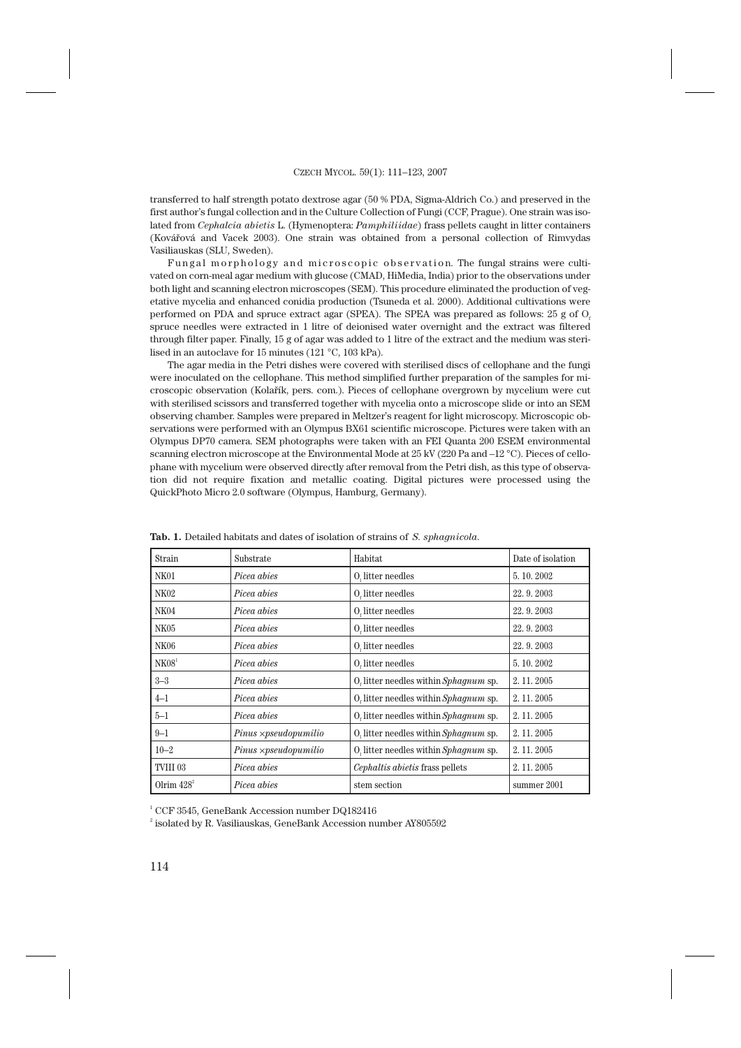#### CZECH MYCOL. 59(1): 111–123, 2007

transferred to half strength potato dextrose agar (50 % PDA, Sigma-Aldrich Co.) and preserved in the first author's fungal collection and in the Culture Collection of Fungi (CCF, Prague). One strain was isolated from *Cephalcia abietis* L. (Hymenoptera: *Pamphiliidae*) frass pellets caught in litter containers (Kovářová and Vacek 2003). One strain was obtained from a personal collection of Rimvydas Vasiliauskas (SLU, Sweden).

Fungal morphology and microscopic observation. The fungal strains were cultivated on corn-meal agar medium with glucose (CMAD, HiMedia, India) prior to the observations under both light and scanning electron microscopes (SEM). This procedure eliminated the production of vegetative mycelia and enhanced conidia production (Tsuneda et al. 2000). Additional cultivations were performed on PDA and spruce extract agar (SPEA). The SPEA was prepared as follows: 25 g of O. spruce needles were extracted in 1 litre of deionised water overnight and the extract was filtered through filter paper. Finally, 15 g of agar was added to 1 litre of the extract and the medium was sterilised in an autoclave for 15 minutes (121 °C, 103 kPa).

The agar media in the Petri dishes were covered with sterilised discs of cellophane and the fungi were inoculated on the cellophane. This method simplified further preparation of the samples for microscopic observation (Kolařík, pers. com.). Pieces of cellophane overgrown by mycelium were cut with sterilised scissors and transferred together with mycelia onto a microscope slide or into an SEM observing chamber. Samples were prepared in Meltzer's reagent for light microscopy. Microscopic observations were performed with an Olympus BX61 scientific microscope. Pictures were taken with an Olympus DP70 camera. SEM photographs were taken with an FEI Quanta 200 ESEM environmental scanning electron microscope at the Environmental Mode at 25 kV (220 Pa and –12 °C). Pieces of cellophane with mycelium were observed directly after removal from the Petri dish, as this type of observation did not require fixation and metallic coating. Digital pictures were processed using the QuickPhoto Micro 2.0 software (Olympus, Hamburg, Germany).

| Strain              | Substrate                    | Habitat                                        | Date of isolation |
|---------------------|------------------------------|------------------------------------------------|-------------------|
| NK01                | Picea abies                  | 0. litter needles                              | 5, 10, 2002       |
| <b>NK02</b>         | Picea abies                  | $Or$ litter needles                            | 22.9.2003         |
| NK04                | Picea abies                  | $0r$ litter needles                            | 22.9.2003         |
| NK05                | Picea abies                  | $Or$ litter needles                            | 22.9.2003         |
| <b>NK06</b>         | Picea abies                  | 0. litter needles                              | 22.9.2003         |
| NK08 <sup>1</sup>   | Picea abies                  | $0r$ litter needles                            | 5, 10, 2002       |
| $3 - 3$             | Picea abies                  | $Oi$ litter needles within <i>Sphagnum</i> sp. | 2.11.2005         |
| $4 - 1$             | Picea abies                  | O, litter needles within Sphagnum sp.          | 2.11.2005         |
| $5 - 1$             | Picea abies                  | O. litter needles within Sphagnum sp.          | 2.11.2005         |
| $9 - 1$             | $Pinus \times pseudopumilio$ | $Oi$ litter needles within <i>Sphagnum</i> sp. | 2.11.2005         |
| $10 - 2$            | $Pinus \times pseudopumilio$ | $Oi$ litter needles within <i>Sphagnum</i> sp. | 2.11.2005         |
| TVIII <sub>03</sub> | Picea abies                  | Cephaltis abietis frass pellets                | 2.11.2005         |
| Olrim $428^2$       | Picea abies                  | stem section                                   | summer 2001       |

**Tab. 1.** Detailed habitats and dates of isolation of strains of *S. sphagnicola*.

<sup>1</sup> CCF 3545, GeneBank Accession number DQ182416

2 isolated by R. Vasiliauskas, GeneBank Accession number AY805592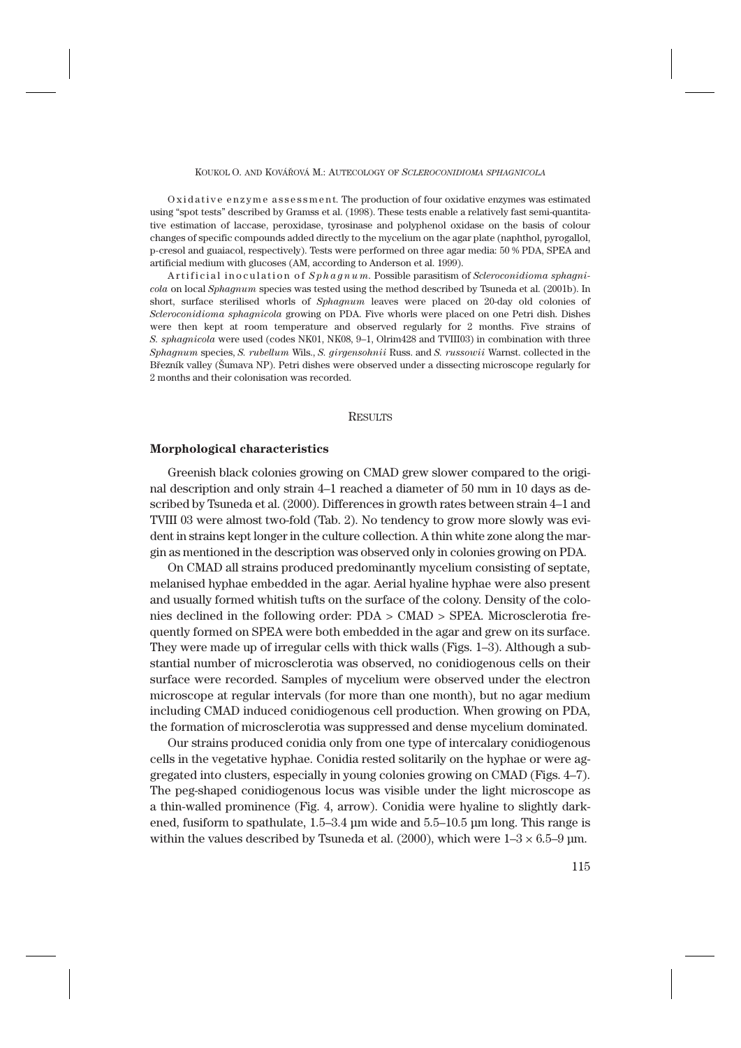#### KOUKOL O. AND KOVÁŘOVÁ M.: AUTECOLOGY OF *SCLEROCONIDIOMA SPHAGNICOLA*

O xid a tive en zyme assessment. The production of four oxidative enzymes was estimated using "spot tests" described by Gramss et al. (1998). These tests enable a relatively fast semi-quantitative estimation of laccase, peroxidase, tyrosinase and polyphenol oxidase on the basis of colour changes of specific compounds added directly to the mycelium on the agar plate (naphthol, pyrogallol, p*-*cresol and guaiacol, respectively). Tests were performed on three agar media: 50 % PDA, SPEA and artificial medium with glucoses (AM, according to Anderson et al. 1999).

Artificial inoculation of *Sphagnum*. Possible parasitism of *Scleroconidioma sphagnicola* on local *Sphagnum* species was tested using the method described by Tsuneda et al. (2001b). In short, surface sterilised whorls of *Sphagnum* leaves were placed on 20-day old colonies of *Scleroconidioma sphagnicola* growing on PDA. Five whorls were placed on one Petri dish. Dishes were then kept at room temperature and observed regularly for 2 months. Five strains of *S. sphagnicola* were used (codes NK01, NK08, 9–1, Olrim428 and TVIII03) in combination with three *Sphagnum* species, *S. rubellum* Wils., *S. girgensohnii* Russ. and *S. russowii* Warnst. collected in the Březník valley (Šumava NP). Petri dishes were observed under a dissecting microscope regularly for 2 months and their colonisation was recorded.

#### RESULTS

## **Morphological characteristics**

Greenish black colonies growing on CMAD grew slower compared to the original description and only strain 4–1 reached a diameter of 50 mm in 10 days as described by Tsuneda et al. (2000). Differences in growth rates between strain 4–1 and TVIII 03 were almost two-fold (Tab. 2). No tendency to grow more slowly was evident in strains kept longer in the culture collection. A thin white zone along the margin as mentioned in the description was observed only in colonies growing on PDA.

On CMAD all strains produced predominantly mycelium consisting of septate, melanised hyphae embedded in the agar. Aerial hyaline hyphae were also present and usually formed whitish tufts on the surface of the colony. Density of the colonies declined in the following order: PDA > CMAD > SPEA. Microsclerotia frequently formed on SPEA were both embedded in the agar and grew on its surface. They were made up of irregular cells with thick walls (Figs. 1–3). Although a substantial number of microsclerotia was observed, no conidiogenous cells on their surface were recorded. Samples of mycelium were observed under the electron microscope at regular intervals (for more than one month), but no agar medium including CMAD induced conidiogenous cell production. When growing on PDA, the formation of microsclerotia was suppressed and dense mycelium dominated.

Our strains produced conidia only from one type of intercalary conidiogenous cells in the vegetative hyphae. Conidia rested solitarily on the hyphae or were aggregated into clusters, especially in young colonies growing on CMAD (Figs. 4–7). The peg-shaped conidiogenous locus was visible under the light microscope as a thin-walled prominence (Fig. 4, arrow). Conidia were hyaline to slightly darkened, fusiform to spathulate, 1.5–3.4 μm wide and 5.5–10.5 μm long. This range is within the values described by Tsuneda et al. (2000), which were  $1-3 \times 6.5-9$  µm.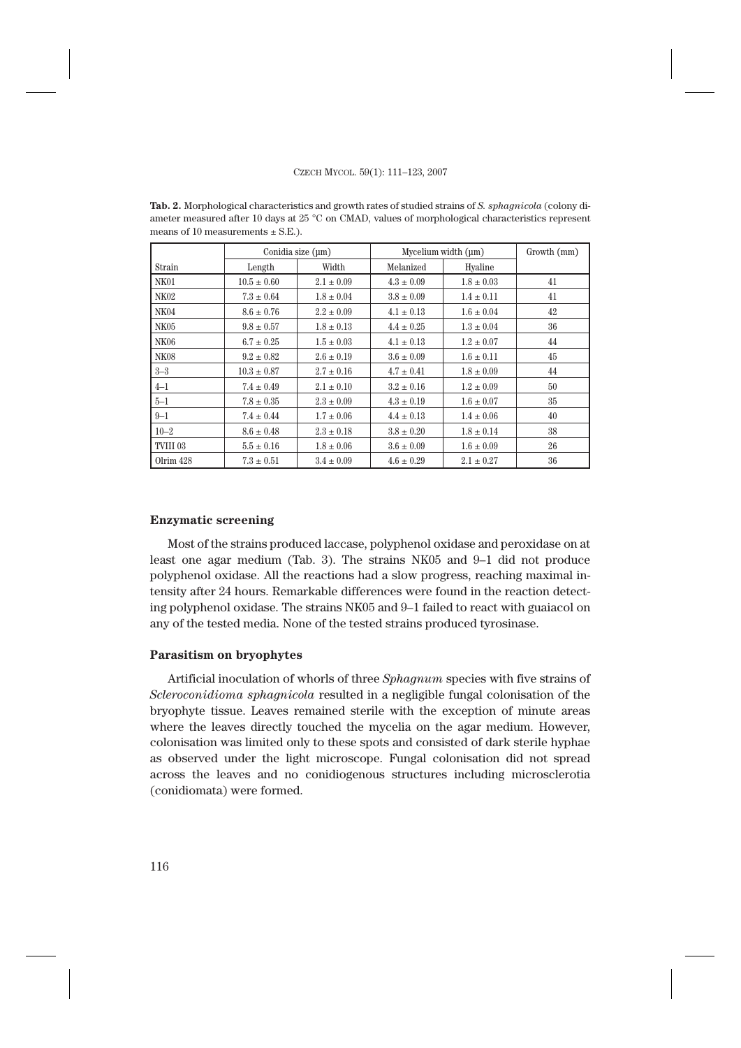|                     | Conidia size (µm) |                | Mycelium width $(\mu m)$ | Growth (mm)    |    |
|---------------------|-------------------|----------------|--------------------------|----------------|----|
| Strain              | Length            | Width          |                          | Hyaline        |    |
| NK01                | $10.5 \pm 0.60$   | $2.1 \pm 0.09$ | $4.3 \pm 0.09$           | $1.8 \pm 0.03$ | 41 |
| <b>NK02</b>         | $7.3 \pm 0.64$    | $1.8 \pm 0.04$ | $3.8 \pm 0.09$           | $1.4 \pm 0.11$ | 41 |
| NK04                | $8.6 \pm 0.76$    | $2.2 \pm 0.09$ | $4.1 \pm 0.13$           | $1.6 \pm 0.04$ | 42 |
| NK05                | $9.8 \pm 0.57$    | $1.8 \pm 0.13$ | $4.4 \pm 0.25$           | $1.3 \pm 0.04$ | 36 |
| NK06                | $6.7 \pm 0.25$    | $1.5 \pm 0.03$ | $4.1 \pm 0.13$           | $1.2 \pm 0.07$ | 44 |
| <b>NK08</b>         | $9.2 \pm 0.82$    | $2.6 \pm 0.19$ | $3.6 \pm 0.09$           | $1.6 \pm 0.11$ | 45 |
| $3 - 3$             | $10.3 \pm 0.87$   | $2.7 \pm 0.16$ | $4.7 \pm 0.41$           | $1.8 \pm 0.09$ | 44 |
| $4 - 1$             | $7.4 \pm 0.49$    | $2.1 \pm 0.10$ | $3.2 \pm 0.16$           | $1.2 \pm 0.09$ | 50 |
| $5 - 1$             | $7.8 \pm 0.35$    | $2.3 \pm 0.09$ | $4.3 \pm 0.19$           | $1.6 \pm 0.07$ | 35 |
| $9 - 1$             | $7.4 \pm 0.44$    | $1.7 \pm 0.06$ | $4.4 \pm 0.13$           | $1.4 \pm 0.06$ | 40 |
| $10 - 2$            | $8.6 \pm 0.48$    | $2.3 \pm 0.18$ | $3.8 \pm 0.20$           | $1.8 \pm 0.14$ | 38 |
| TVIII <sub>03</sub> | $5.5 \pm 0.16$    | $1.8 \pm 0.06$ | $3.6 \pm 0.09$           | $1.6 \pm 0.09$ | 26 |
| Olrim 428           | $7.3 \pm 0.51$    | $3.4 \pm 0.09$ | $4.6 \pm 0.29$           | $2.1 \pm 0.27$ | 36 |

**Tab. 2.** Morphological characteristics and growth rates of studied strains of *S. sphagnicola* (colony diameter measured after 10 days at 25 °C on CMAD, values of morphological characteristics represent means of 10 measurements  $\pm$  S.E.).

## **Enzymatic screening**

Most of the strains produced laccase, polyphenol oxidase and peroxidase on at least one agar medium (Tab. 3). The strains NK05 and 9–1 did not produce polyphenol oxidase. All the reactions had a slow progress, reaching maximal intensity after 24 hours. Remarkable differences were found in the reaction detecting polyphenol oxidase. The strains NK05 and 9–1 failed to react with guaiacol on any of the tested media. None of the tested strains produced tyrosinase.

#### **Parasitism on bryophytes**

Artificial inoculation of whorls of three *Sphagnum* species with five strains of *Scleroconidioma sphagnicola* resulted in a negligible fungal colonisation of the bryophyte tissue. Leaves remained sterile with the exception of minute areas where the leaves directly touched the mycelia on the agar medium. However, colonisation was limited only to these spots and consisted of dark sterile hyphae as observed under the light microscope. Fungal colonisation did not spread across the leaves and no conidiogenous structures including microsclerotia (conidiomata) were formed.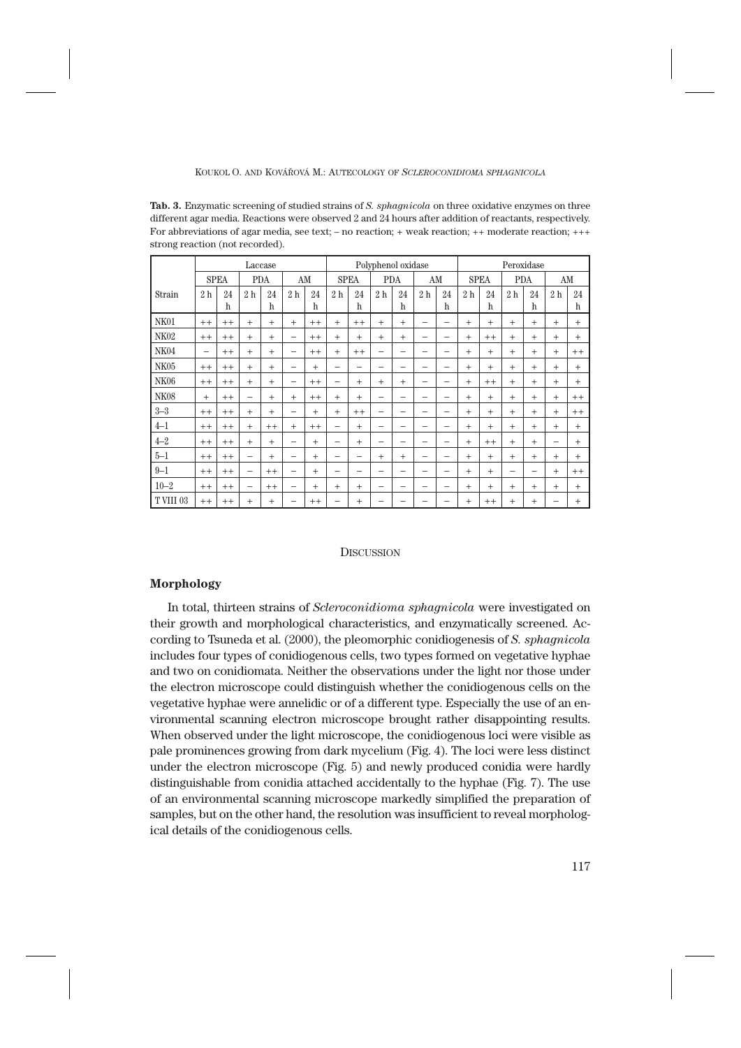**Tab. 3.** Enzymatic screening of studied strains of *S. sphagnicola* on three oxidative enzymes on three different agar media. Reactions were observed 2 and 24 hours after addition of reactants, respectively. For abbreviations of agar media, see text; – no reaction; + weak reaction; ++ moderate reaction; +++ strong reaction (not recorded).

|                  | Laccase        |             |                |            |                          |           | Polyphenol oxidase       |             |                |            |                | Peroxidase               |                |                |                |            |                          |         |  |
|------------------|----------------|-------------|----------------|------------|--------------------------|-----------|--------------------------|-------------|----------------|------------|----------------|--------------------------|----------------|----------------|----------------|------------|--------------------------|---------|--|
|                  |                | <b>SPEA</b> |                | <b>PDA</b> |                          | AM        |                          | <b>SPEA</b> |                | <b>PDA</b> |                | AM                       |                | <b>SPEA</b>    |                | <b>PDA</b> |                          | AM      |  |
| Strain           | 2 <sub>h</sub> | 24<br>h     | 2 <sub>h</sub> | 24<br>h    | 2 <sub>h</sub>           | 24<br>h   | 2 <sub>h</sub>           | 24<br>h     | 2 <sub>h</sub> | 24<br>h    | 2 <sub>h</sub> | 24<br>h                  | 2 <sub>h</sub> | 24<br>h        | 2 <sub>h</sub> | 24<br>h    | 2 <sub>h</sub>           | 24<br>h |  |
| NK01             | $++$           | $++$        | $^{+}$         | $^{+}$     | $^{+}$                   | $++$      | $^{+}$                   | $++$        | $\ddot{}$      | $+$        |                | -                        | $^{+}$         | $^{+}$         | $^{+}$         | $^{+}$     | $^{+}$                   | $+$     |  |
| NK <sub>02</sub> | $++$           | $++$        | $^{+}$         | $^{+}$     | $\overline{\phantom{0}}$ | $++$      | $^{+}$                   | $^{+}$      | $^{+}$         | $+$        | -              | -                        | $^{+}$         | $++$           | $^{+}$         | $^{+}$     | $^{+}$                   | $^{+}$  |  |
| NK04             | -              | $++$        | $^{+}$         | $^{+}$     | $\overline{\phantom{0}}$ | $++$      | $\ddot{}$                | $++$        | -              | -          |                | -                        | $^{+}$         | $^{+}$         | $^{+}$         | $^{+}$     | $^{+}$                   | $++$    |  |
| NK05             | $++$           | $++$        | $^{+}$         | $^{+}$     | -                        | $\ddot{}$ | $\equiv$                 | -           | -              | -          | -              | $\overline{\phantom{0}}$ | $^{+}$         | $+$            | $^{+}$         | $^{+}$     | $^{+}$                   | $^{+}$  |  |
| NK06             | $++$           | $++$        | $^{+}$         | $^{+}$     | $\overline{\phantom{0}}$ | $++$      | $\overline{\phantom{0}}$ | $\ddot{}$   | $\ddot{}$      | $+$        | -              | -                        | $^{+}$         | $++$           | $^{+}$         | $^{+}$     | $^{+}$                   | $+$     |  |
| NK08             | $^{+}$         | $++$        | -              | $^{+}$     | $^{+}$                   | $++$      | $^{+}$                   | $^{+}$      | -              | -          |                | -                        | $^{+}$         | $\overline{+}$ | $^{+}$         | $^{+}$     | $^{+}$                   | $++$    |  |
| $3 - 3$          | $++$           | $++$        | $^{+}$         | $^{+}$     | $\overline{\phantom{0}}$ | $\ddot{}$ | $^{+}$                   | $++$        | -              | -          | -              | -                        | $^{+}$         | $^{+}$         | $^{+}$         | $^{+}$     | $^{+}$                   | $++$    |  |
| $4 - 1$          | $++$           | $++$        | $^{+}$         | $++$       | $+$                      | $++$      | $\overline{\phantom{0}}$ | $\ddot{}$   | -              | -          | -              | -                        | $^{+}$         | $^{+}$         | $^{+}$         | $^{+}$     | $^{+}$                   | $^{+}$  |  |
| $4 - 2$          | $++$           | $++$        | $^{+}$         | $^{+}$     | $\overline{\phantom{0}}$ | $^{+}$    | $\equiv$                 | $\ddot{}$   | -              | -          | -              | $\overline{\phantom{0}}$ | $^{+}$         | $++$           | $\ddot{}$      | $^{+}$     | $\overline{\phantom{0}}$ | $^{+}$  |  |
| $5 - 1$          | $++$           | $++$        | -              | $+$        | -                        | $+$       | -                        | -           | $+$            | $+$        | -              | $\overline{\phantom{0}}$ | $^{+}$         | $+$            | $\ddot{}$      | $+$        | $^{+}$                   | $+$     |  |
| $9 - 1$          | $++$           | $++$        | -              | $++$       | -                        | $\ddot{}$ | -                        | -           | -              | -          |                | -                        | $^{+}$         | $+$            | -              |            | $^{+}$                   | $++$    |  |
| $10-2$           | $++$           | $++$        | -              | $++$       | -                        | $\ddot{}$ | $^{+}$                   | $\ddot{}$   | -              | -          | -              | $\overline{\phantom{0}}$ | $^{+}$         | $\ddot{}$      | $^{+}$         | $^{+}$     | $^{+}$                   | $^{+}$  |  |
| T VIII 03        | $+ +$          | $++$        | $^{+}$         | $^{+}$     | -                        | $++$      | -                        | $^{+}$      |                |            |                | -                        | $^{+}$         | $++$           | $^{+}$         | $^{+}$     |                          | $+$     |  |

#### **DISCUSSION**

## **Morphology**

In total, thirteen strains of *Scleroconidioma sphagnicola* were investigated on their growth and morphological characteristics, and enzymatically screened. According to Tsuneda et al. (2000), the pleomorphic conidiogenesis of *S. sphagnicola* includes four types of conidiogenous cells, two types formed on vegetative hyphae and two on conidiomata. Neither the observations under the light nor those under the electron microscope could distinguish whether the conidiogenous cells on the vegetative hyphae were annelidic or of a different type. Especially the use of an environmental scanning electron microscope brought rather disappointing results. When observed under the light microscope, the conidiogenous loci were visible as pale prominences growing from dark mycelium (Fig. 4). The loci were less distinct under the electron microscope (Fig. 5) and newly produced conidia were hardly distinguishable from conidia attached accidentally to the hyphae (Fig. 7). The use of an environmental scanning microscope markedly simplified the preparation of samples, but on the other hand, the resolution was insufficient to reveal morphological details of the conidiogenous cells.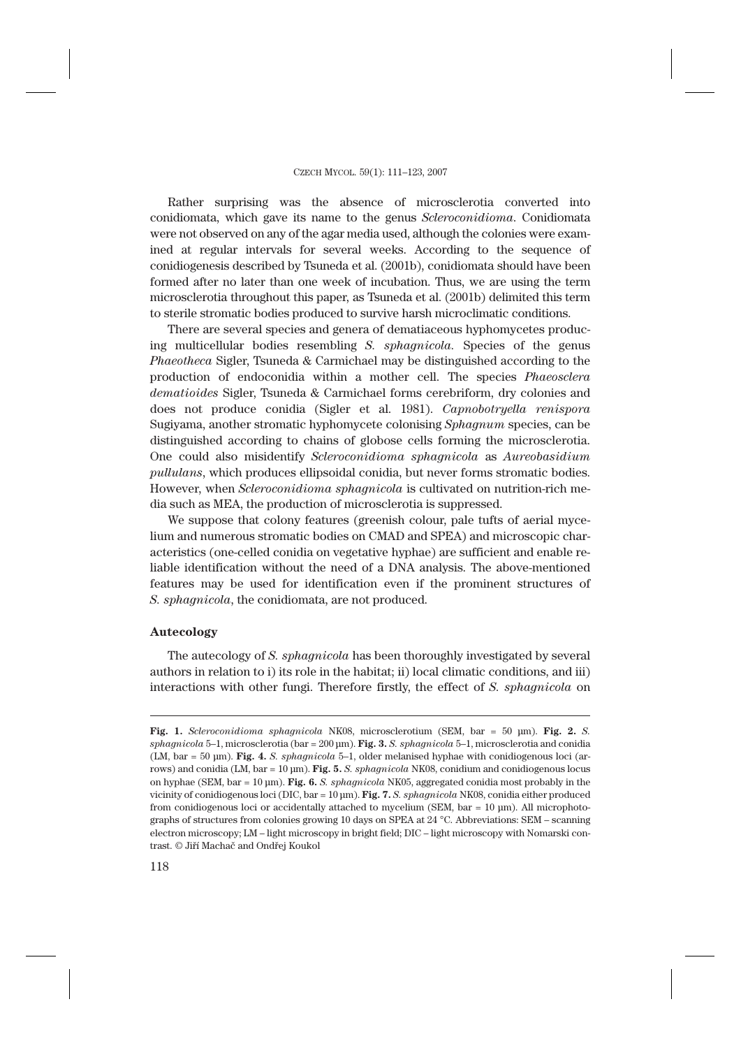Rather surprising was the absence of microsclerotia converted into conidiomata, which gave its name to the genus *Scleroconidioma*. Conidiomata were not observed on any of the agar media used, although the colonies were examined at regular intervals for several weeks. According to the sequence of conidiogenesis described by Tsuneda et al. (2001b), conidiomata should have been formed after no later than one week of incubation. Thus, we are using the term microsclerotia throughout this paper, as Tsuneda et al. (2001b) delimited this term to sterile stromatic bodies produced to survive harsh microclimatic conditions.

There are several species and genera of dematiaceous hyphomycetes producing multicellular bodies resembling *S. sphagnicola.* Species of the genus *Phaeotheca* Sigler, Tsuneda & Carmichael may be distinguished according to the production of endoconidia within a mother cell. The species *Phaeosclera dematioides* Sigler, Tsuneda & Carmichael forms cerebriform, dry colonies and does not produce conidia (Sigler et al. 1981). *Capnobotryella renispora* Sugiyama, another stromatic hyphomycete colonising *Sphagnum* species, can be distinguished according to chains of globose cells forming the microsclerotia. One could also misidentify *Scleroconidioma sphagnicola* as *Aureobasidium pullulans*, which produces ellipsoidal conidia, but never forms stromatic bodies. However, when *Scleroconidioma sphagnicola* is cultivated on nutrition-rich media such as MEA, the production of microsclerotia is suppressed.

We suppose that colony features (greenish colour, pale tufts of aerial mycelium and numerous stromatic bodies on CMAD and SPEA) and microscopic characteristics (one-celled conidia on vegetative hyphae) are sufficient and enable reliable identification without the need of a DNA analysis. The above-mentioned features may be used for identification even if the prominent structures of *S. sphagnicola*, the conidiomata, are not produced.

## **Autecology**

The autecology of *S. sphagnicola* has been thoroughly investigated by several authors in relation to i) its role in the habitat; ii) local climatic conditions, and iii) interactions with other fungi. Therefore firstly, the effect of *S. sphagnicola* on

**Fig. 1.** *Scleroconidioma sphagnicola* NK08, microsclerotium (SEM, bar = 50 μm). **Fig. 2.** *S. sphagnicola* 5–1, microsclerotia (bar = 200 μm). **Fig. 3.** *S. sphagnicola* 5–1, microsclerotia and conidia (LM, bar = 50 μm). **Fig. 4.** *S. sphagnicola* 5–1, older melanised hyphae with conidiogenous loci (arrows) and conidia (LM, bar = 10 μm). **Fig. 5.** *S. sphagnicola* NK08, conidium and conidiogenous locus on hyphae (SEM, bar = 10 μm). **Fig. 6.** *S. sphagnicola* NK05, aggregated conidia most probably in the vicinity of conidiogenous loci (DIC, bar = 10 μm). **Fig. 7.** *S. sphagnicola* NK08, conidia either produced from conidiogenous loci or accidentally attached to mycelium (SEM, bar = 10 μm). All microphotographs of structures from colonies growing 10 days on SPEA at 24 °C. Abbreviations: SEM – scanning electron microscopy; LM – light microscopy in bright field; DIC – light microscopy with Nomarski contrast. © Jiří Machač and Ondřej Koukol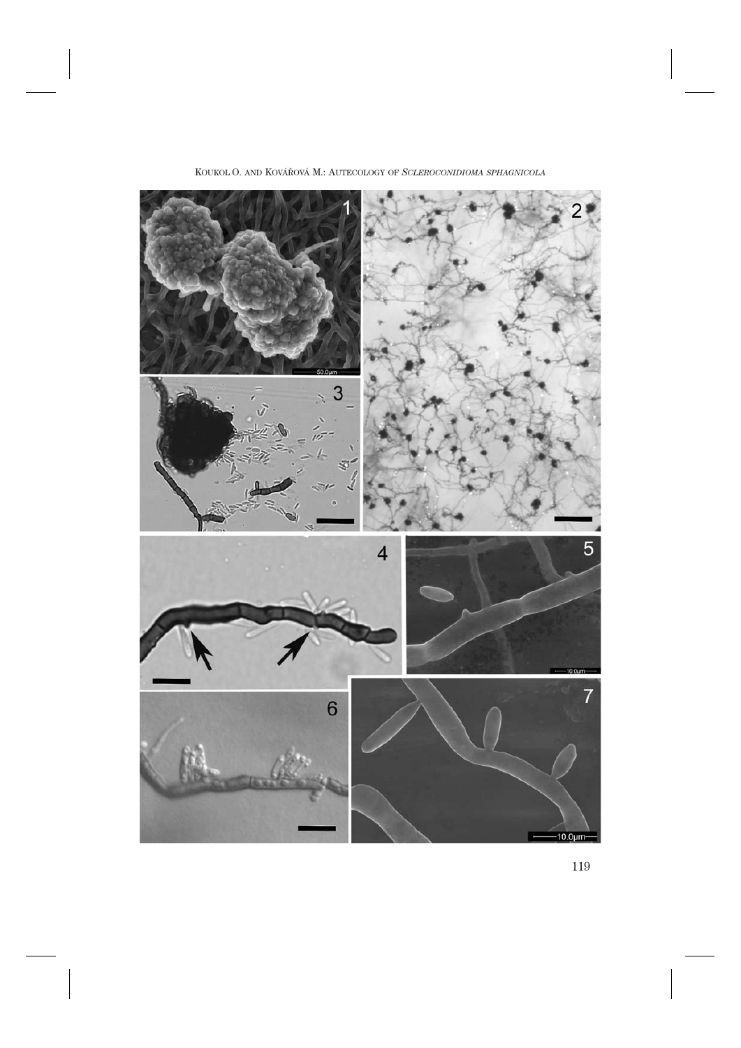

KOUKOL O. AND KOVÁŘOVÁ M.: AUTECOLOGY OF *SCLEROCONIDIOMA SPHAGNICOLA*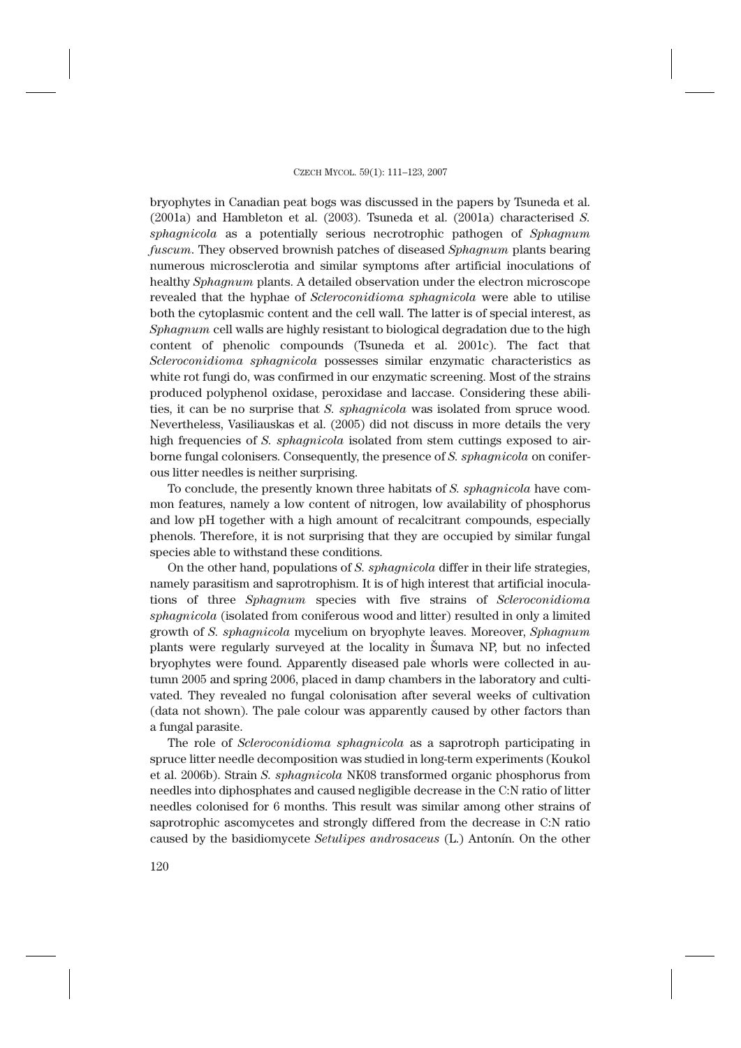bryophytes in Canadian peat bogs was discussed in the papers by Tsuneda et al. (2001a) and Hambleton et al. (2003). Tsuneda et al. (2001a) characterised *S. sphagnicola* as a potentially serious necrotrophic pathogen of *Sphagnum fuscum*. They observed brownish patches of diseased *Sphagnum* plants bearing numerous microsclerotia and similar symptoms after artificial inoculations of healthy *Sphagnum* plants. A detailed observation under the electron microscope revealed that the hyphae of *Scleroconidioma sphagnicola* were able to utilise both the cytoplasmic content and the cell wall. The latter is of special interest, as *Sphagnum* cell walls are highly resistant to biological degradation due to the high content of phenolic compounds (Tsuneda et al. 2001c). The fact that *Scleroconidioma sphagnicola* possesses similar enzymatic characteristics as white rot fungi do, was confirmed in our enzymatic screening. Most of the strains produced polyphenol oxidase, peroxidase and laccase. Considering these abilities, it can be no surprise that *S. sphagnicola* was isolated from spruce wood. Nevertheless, Vasiliauskas et al. (2005) did not discuss in more details the very high frequencies of *S. sphagnicola* isolated from stem cuttings exposed to airborne fungal colonisers. Consequently, the presence of *S. sphagnicola* on coniferous litter needles is neither surprising.

To conclude, the presently known three habitats of *S. sphagnicola* have common features, namely a low content of nitrogen, low availability of phosphorus and low pH together with a high amount of recalcitrant compounds, especially phenols. Therefore, it is not surprising that they are occupied by similar fungal species able to withstand these conditions.

On the other hand, populations of *S. sphagnicola* differ in their life strategies, namely parasitism and saprotrophism. It is of high interest that artificial inoculations of three *Sphagnum* species with five strains of *Scleroconidioma sphagnicola* (isolated from coniferous wood and litter) resulted in only a limited growth of *S. sphagnicola* mycelium on bryophyte leaves. Moreover, *Sphagnum* plants were regularly surveyed at the locality in Šumava NP, but no infected bryophytes were found. Apparently diseased pale whorls were collected in autumn 2005 and spring 2006, placed in damp chambers in the laboratory and cultivated. They revealed no fungal colonisation after several weeks of cultivation (data not shown). The pale colour was apparently caused by other factors than a fungal parasite.

The role of *Scleroconidioma sphagnicola* as a saprotroph participating in spruce litter needle decomposition was studied in long-term experiments (Koukol et al. 2006b). Strain *S. sphagnicola* NK08 transformed organic phosphorus from needles into diphosphates and caused negligible decrease in the C:N ratio of litter needles colonised for 6 months. This result was similar among other strains of saprotrophic ascomycetes and strongly differed from the decrease in C:N ratio caused by the basidiomycete *Setulipes androsaceus* (L.) Antonín. On the other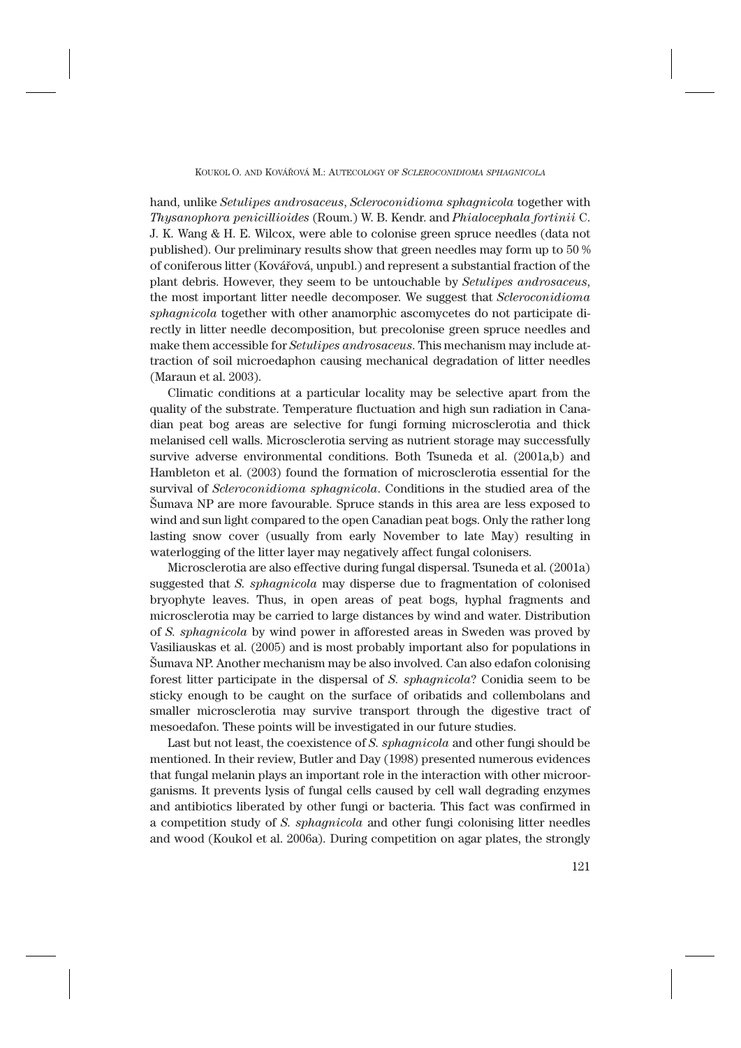hand, unlike *Setulipes androsaceus*, *Scleroconidioma sphagnicola* together with *Thysanophora penicillioides* (Roum.) W. B. Kendr. and *Phialocephala fortinii* C. J. K. Wang & H. E. Wilcox, were able to colonise green spruce needles (data not published). Our preliminary results show that green needles may form up to 50 % of coniferous litter (Kovářová, unpubl.) and represent a substantial fraction of the plant debris. However, they seem to be untouchable by *Setulipes androsaceus*, the most important litter needle decomposer. We suggest that *Scleroconidioma sphagnicola* together with other anamorphic ascomycetes do not participate directly in litter needle decomposition, but precolonise green spruce needles and make them accessible for *Setulipes androsaceus*. This mechanism may include attraction of soil microedaphon causing mechanical degradation of litter needles (Maraun et al. 2003).

Climatic conditions at a particular locality may be selective apart from the quality of the substrate. Temperature fluctuation and high sun radiation in Canadian peat bog areas are selective for fungi forming microsclerotia and thick melanised cell walls. Microsclerotia serving as nutrient storage may successfully survive adverse environmental conditions. Both Tsuneda et al. (2001a,b) and Hambleton et al. (2003) found the formation of microsclerotia essential for the survival of *Scleroconidioma sphagnicola*. Conditions in the studied area of the Šumava NP are more favourable. Spruce stands in this area are less exposed to wind and sun light compared to the open Canadian peat bogs. Only the rather long lasting snow cover (usually from early November to late May) resulting in waterlogging of the litter layer may negatively affect fungal colonisers.

Microsclerotia are also effective during fungal dispersal. Tsuneda et al. (2001a) suggested that *S. sphagnicola* may disperse due to fragmentation of colonised bryophyte leaves. Thus, in open areas of peat bogs, hyphal fragments and microsclerotia may be carried to large distances by wind and water. Distribution of *S. sphagnicola* by wind power in afforested areas in Sweden was proved by Vasiliauskas et al. (2005) and is most probably important also for populations in Šumava NP. Another mechanism may be also involved. Can also edafon colonising forest litter participate in the dispersal of *S. sphagnicola*? Conidia seem to be sticky enough to be caught on the surface of oribatids and collembolans and smaller microsclerotia may survive transport through the digestive tract of mesoedafon. These points will be investigated in our future studies.

Last but not least, the coexistence of *S. sphagnicola* and other fungi should be mentioned. In their review, Butler and Day (1998) presented numerous evidences that fungal melanin plays an important role in the interaction with other microorganisms. It prevents lysis of fungal cells caused by cell wall degrading enzymes and antibiotics liberated by other fungi or bacteria. This fact was confirmed in a competition study of *S. sphagnicola* and other fungi colonising litter needles and wood (Koukol et al. 2006a). During competition on agar plates, the strongly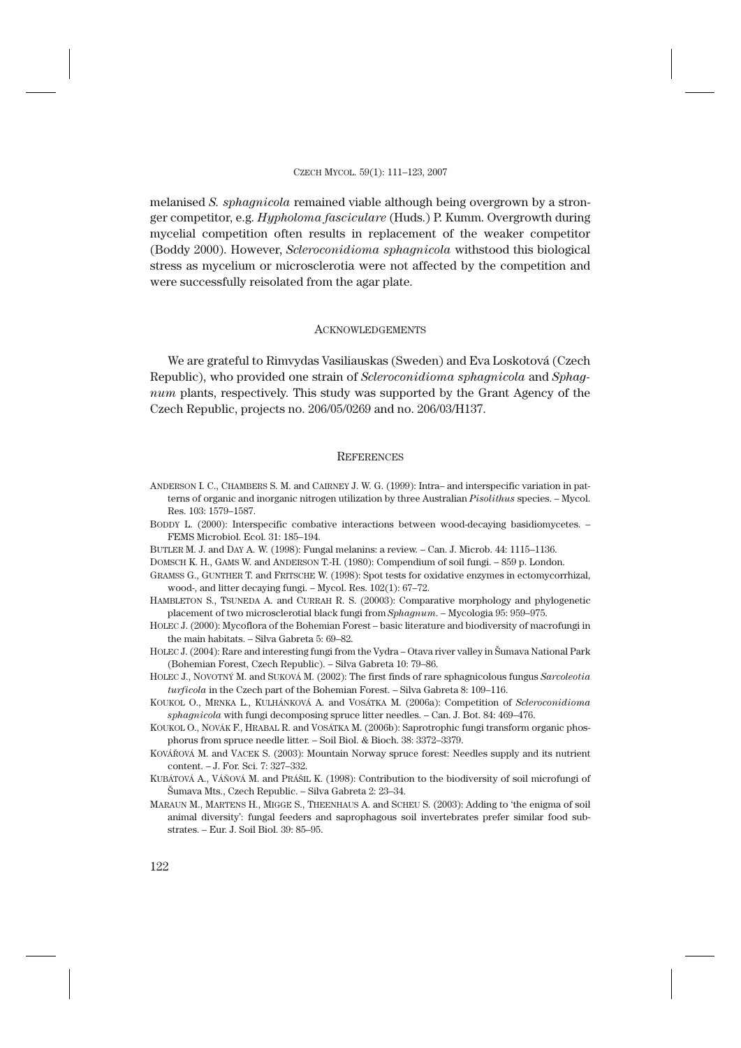melanised *S. sphagnicola* remained viable although being overgrown by a stronger competitor, e.g. *Hypholoma fasciculare* (Huds.) P. Kumm. Overgrowth during mycelial competition often results in replacement of the weaker competitor (Boddy 2000). However, *Scleroconidioma sphagnicola* withstood this biological stress as mycelium or microsclerotia were not affected by the competition and were successfully reisolated from the agar plate.

## ACKNOWLEDGEMENTS

We are grateful to Rimvydas Vasiliauskas (Sweden) and Eva Loskotová (Czech Republic), who provided one strain of *Scleroconidioma sphagnicola* and *Sphagnum* plants, respectively. This study was supported by the Grant Agency of the Czech Republic, projects no. 206/05/0269 and no. 206/03/H137.

#### **REFERENCES**

- ANDERSON I. C., CHAMBERS S. M. and CAIRNEY J. W. G. (1999): Intra– and interspecific variation in patterns of organic and inorganic nitrogen utilization by three Australian *Pisolithus* species. – Mycol. Res. 103: 1579–1587.
- BODDY L. (2000): Interspecific combative interactions between wood-decaying basidiomycetes. FEMS Microbiol. Ecol. 31: 185–194.
- BUTLER M. J. and DAY A. W. (1998): Fungal melanins: a review. Can. J. Microb. 44: 1115–1136.
- DOMSCH K. H., GAMS W. and ANDERSON T.-H. (1980): Compendium of soil fungi. 859 p. London.
- GRAMSS G., GUNTHER T. and FRITSCHE W. (1998): Spot tests for oxidative enzymes in ectomycorrhizal, wood-, and litter decaying fungi. – Mycol. Res. 102(1): 67–72.
- HAMBLETON S., TSUNEDA A. and CURRAH R. S. (20003): Comparative morphology and phylogenetic placement of two microsclerotial black fungi from *Sphagnum*. – Mycologia 95: 959–975.
- HOLEC J. (2000): Mycoflora of the Bohemian Forest basic literature and biodiversity of macrofungi in the main habitats. – Silva Gabreta 5: 69–82.
- HOLEC J. (2004): Rare and interesting fungi from the Vydra Otava river valley in Šumava National Park (Bohemian Forest, Czech Republic). – Silva Gabreta 10: 79–86.
- HOLEC J., NOVOTNÝ M. and SUKOVÁ M. (2002): The first finds of rare sphagnicolous fungus *Sarcoleotia turficola* in the Czech part of the Bohemian Forest. – Silva Gabreta 8: 109–116.
- KOUKOL O., MRNKA L., KULHÁNKOVÁ A. and VOSÁTKA M. (2006a): Competition of *Scleroconidioma sphagnicola* with fungi decomposing spruce litter needles. – Can. J. Bot. 84: 469–476.
- KOUKOL O., NOVÁK F., HRABAL R. and VOSÁTKA M. (2006b): Saprotrophic fungi transform organic phosphorus from spruce needle litter. – Soil Biol. & Bioch. 38: 3372–3379.
- KOVÁŘOVÁ M. and VACEK S. (2003): Mountain Norway spruce forest: Needles supply and its nutrient content. – J. For. Sci. 7: 327–332.
- KUBÁTOVÁ A., VÁŇOVÁ M. and PRÁŠIL K. (1998): Contribution to the biodiversity of soil microfungi of Šumava Mts., Czech Republic. – Silva Gabreta 2: 23–34.
- MARAUN M., MARTENS H., MIGGE S., THEENHAUS A. and SCHEU S. (2003): Adding to 'the enigma of soil animal diversity': fungal feeders and saprophagous soil invertebrates prefer similar food substrates. – Eur. J. Soil Biol. 39: 85–95.